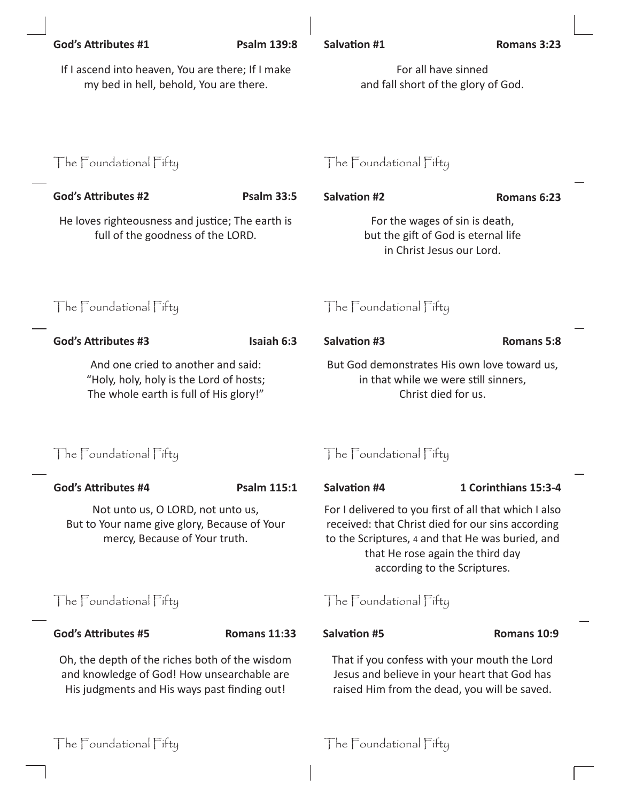|                        | <b>God's Attributes #1</b>                                                                                                                        | <b>Psalm 139:8</b>     | <b>Salvation #1</b>                                                                                                                                                                                                                                          | Romans 3:23          |  |
|------------------------|---------------------------------------------------------------------------------------------------------------------------------------------------|------------------------|--------------------------------------------------------------------------------------------------------------------------------------------------------------------------------------------------------------------------------------------------------------|----------------------|--|
|                        | If I ascend into heaven, You are there; If I make<br>my bed in hell, behold, You are there.                                                       |                        | For all have sinned<br>and fall short of the glory of God.                                                                                                                                                                                                   |                      |  |
|                        | The Foundational Fifty                                                                                                                            |                        | The Foundational Fifty                                                                                                                                                                                                                                       |                      |  |
|                        | <b>God's Attributes #2</b>                                                                                                                        | <b>Psalm 33:5</b>      | <b>Salvation #2</b>                                                                                                                                                                                                                                          | Romans 6:23          |  |
|                        | He loves righteousness and justice; The earth is<br>full of the goodness of the LORD.                                                             |                        | For the wages of sin is death,<br>but the gift of God is eternal life<br>in Christ Jesus our Lord.                                                                                                                                                           |                      |  |
|                        | The Foundational Fifty                                                                                                                            |                        | The Foundational Fifty                                                                                                                                                                                                                                       |                      |  |
|                        | <b>God's Attributes #3</b>                                                                                                                        | Isaiah 6:3             | <b>Salvation #3</b>                                                                                                                                                                                                                                          | <b>Romans 5:8</b>    |  |
|                        | And one cried to another and said:<br>"Holy, holy, holy is the Lord of hosts;<br>The whole earth is full of His glory!"<br>The Foundational Fifty |                        | But God demonstrates His own love toward us,<br>in that while we were still sinners,<br>Christ died for us.                                                                                                                                                  |                      |  |
|                        |                                                                                                                                                   |                        | The Foundational Fifty                                                                                                                                                                                                                                       |                      |  |
|                        | <b>God's Attributes #4</b>                                                                                                                        | <b>Psalm 115:1</b>     | <b>Salvation #4</b>                                                                                                                                                                                                                                          | 1 Corinthians 15:3-4 |  |
|                        | Not unto us, O LORD, not unto us,<br>But to Your name give glory, Because of Your<br>mercy, Because of Your truth.<br>The Foundational Fifty      |                        | For I delivered to you first of all that which I also<br>received: that Christ died for our sins according<br>to the Scriptures, 4 and that He was buried, and<br>that He rose again the third day<br>according to the Scriptures.<br>The Foundational Fifty |                      |  |
|                        |                                                                                                                                                   |                        |                                                                                                                                                                                                                                                              |                      |  |
|                        | <b>God's Attributes #5</b>                                                                                                                        | <b>Romans 11:33</b>    | <b>Salvation #5</b>                                                                                                                                                                                                                                          | Romans 10:9          |  |
|                        | Oh, the depth of the riches both of the wisdom<br>and knowledge of God! How unsearchable are<br>His judgments and His ways past finding out!      |                        | That if you confess with your mouth the Lord<br>Jesus and believe in your heart that God has<br>raised Him from the dead, you will be saved.                                                                                                                 |                      |  |
| The Foundational Fifty |                                                                                                                                                   | The Foundational Fifty |                                                                                                                                                                                                                                                              |                      |  |

 $\begin{array}{c} \hline \end{array}$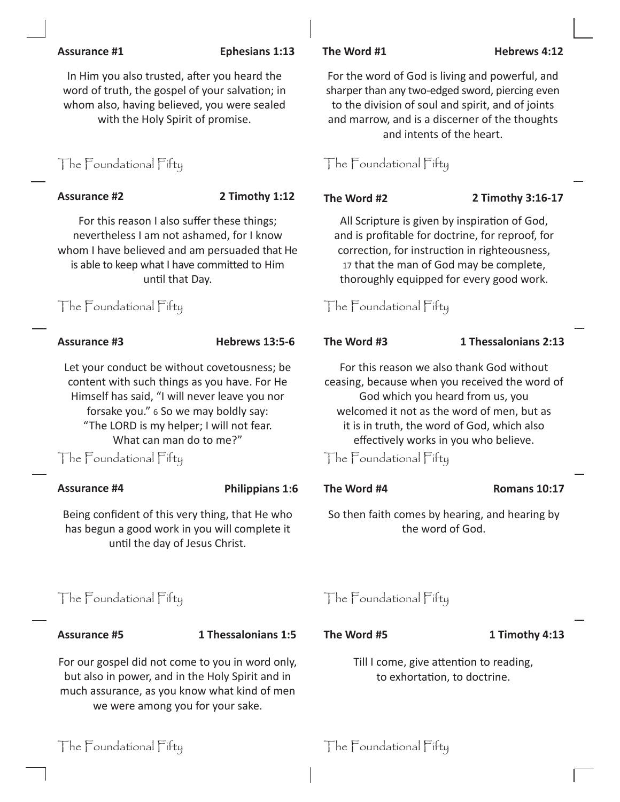## **Assurance #1 Ephesians 1:13 The Word #1 Hebrews 4:12**

In Him you also trusted, after you heard the word of truth, the gospel of your salvation; in whom also, having believed, you were sealed with the Holy Spirit of promise.

# The Foundational Fifty The Foundational Fifty

For this reason I also suffer these things; nevertheless I am not ashamed, for I know whom I have believed and am persuaded that He is able to keep what I have committed to Him until that Day.

Let your conduct be without covetousness; be content with such things as you have. For He Himself has said, "I will never leave you nor forsake you." 6 So we may boldly say: "The LORD is my helper; I will not fear. What can man do to me?"

The Foundational Fifty The Foundational Fifty

## **Assurance #4 Philippians 1:6 The Word #4 Romans 10:17**

Being confident of this very thing, that He who has begun a good work in you will complete it until the day of Jesus Christ.

# The Foundational Fifty The Foundational Fifty

**Assurance #5 1 Thessalonians 1:5 The Word #5 1 Timothy 4:13**

For our gospel did not come to you in word only, but also in power, and in the Holy Spirit and in much assurance, as you know what kind of men we were among you for your sake.



**Assurance #2 2 Timothy 1:12 The Word #2 2 Timothy 3:16-17**

All Scripture is given by inspiration of God, and is profitable for doctrine, for reproof, for correction, for instruction in righteousness, 17 that the man of God may be complete, thoroughly equipped for every good work.

The Foundational Fifty The Foundational Fifty

## **Assurance #3 Hebrews 13:5-6 The Word #3 1 Thessalonians 2:13**

For this reason we also thank God without ceasing, because when you received the word of God which you heard from us, you welcomed it not as the word of men, but as it is in truth, the word of God, which also effectively works in you who believe.

So then faith comes by hearing, and hearing by the word of God.

Till I come, give attention to reading, to exhortation, to doctrine.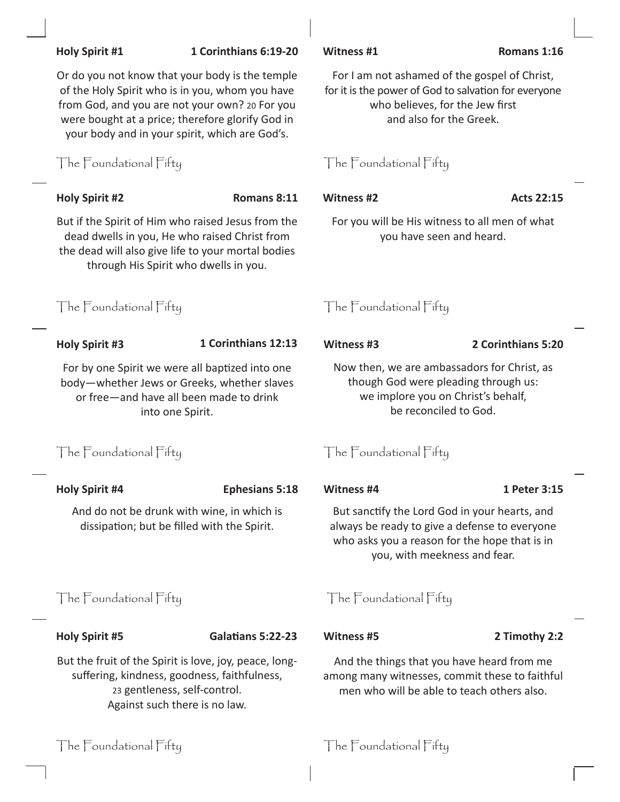|                                                                                                                                                                         | OF the HOTY Spirit wild is in you, wholif you have<br>from God, and you are not your own? 20 For you<br>were bought at a price; therefore glorify God in<br>your body and in your spirit, which are God's. | TOT It is trie power of God to salvation for everyone<br>who believes, for the Jew first<br>and also for the Greek.                                                             |                    |  |
|-------------------------------------------------------------------------------------------------------------------------------------------------------------------------|------------------------------------------------------------------------------------------------------------------------------------------------------------------------------------------------------------|---------------------------------------------------------------------------------------------------------------------------------------------------------------------------------|--------------------|--|
| The Foundational Fifty                                                                                                                                                  |                                                                                                                                                                                                            | The Foundational Fifty                                                                                                                                                          |                    |  |
| <b>Holy Spirit #2</b>                                                                                                                                                   | Romans 8:11                                                                                                                                                                                                | <b>Witness #2</b>                                                                                                                                                               | <b>Acts 22:15</b>  |  |
|                                                                                                                                                                         | But if the Spirit of Him who raised Jesus from the<br>dead dwells in you, He who raised Christ from<br>the dead will also give life to your mortal bodies<br>through His Spirit who dwells in you.         | For you will be His witness to all men of what<br>you have seen and heard.                                                                                                      |                    |  |
| The Foundational Fifty                                                                                                                                                  |                                                                                                                                                                                                            | The Foundational Fifty                                                                                                                                                          |                    |  |
| <b>Holy Spirit #3</b>                                                                                                                                                   | 1 Corinthians 12:13                                                                                                                                                                                        | Witness #3                                                                                                                                                                      | 2 Corinthians 5:20 |  |
| For by one Spirit we were all baptized into one<br>body-whether Jews or Greeks, whether slaves<br>or free-and have all been made to drink<br>into one Spirit.           |                                                                                                                                                                                                            | Now then, we are ambassadors for Christ, as<br>though God were pleading through us:<br>we implore you on Christ's behalf,<br>be reconciled to God.                              |                    |  |
| The Foundational Fifty                                                                                                                                                  |                                                                                                                                                                                                            | The Foundational Fifty                                                                                                                                                          |                    |  |
| <b>Holy Spirit #4</b>                                                                                                                                                   | <b>Ephesians 5:18</b>                                                                                                                                                                                      | Witness #4                                                                                                                                                                      | 1 Peter 3:15       |  |
| And do not be drunk with wine, in which is<br>dissipation; but be filled with the Spirit.                                                                               |                                                                                                                                                                                                            | But sanctify the Lord God in your hearts, and<br>always be ready to give a defense to everyone<br>who asks you a reason for the hope that is in<br>you, with meekness and fear. |                    |  |
| The Foundational Fifty                                                                                                                                                  |                                                                                                                                                                                                            | The Foundational Fifty                                                                                                                                                          |                    |  |
| <b>Holy Spirit #5</b>                                                                                                                                                   | Galatians 5:22-23                                                                                                                                                                                          | <b>Witness #5</b>                                                                                                                                                               | 2 Timothy 2:2      |  |
| But the fruit of the Spirit is love, joy, peace, long-<br>suffering, kindness, goodness, faithfulness,<br>23 gentleness, self-control.<br>Against such there is no law. |                                                                                                                                                                                                            | And the things that you have heard from me<br>among many witnesses, commit these to faithful<br>men who will be able to teach others also.                                      |                    |  |
| The $\sqGamma$ oundational $\sqGamma$ ifty                                                                                                                              |                                                                                                                                                                                                            | The $\sqGamma$ oundational $\sqGamma$ ifty                                                                                                                                      |                    |  |

## **Holy Spirit #1 1 Corinthians 6:19-20 Witness #1 Romans 1:16**

Or do you not know that your body is the temple of the Holy Spirit who is in you, whom you have

For I am not ashamed of the gospel of Christ, for it is the power of God to salvation for everyone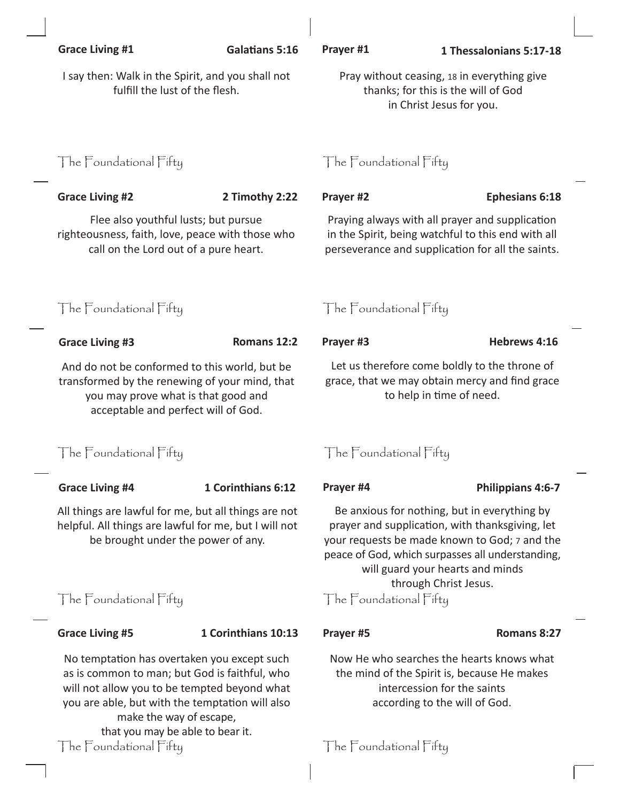| <b>Grace Living #1</b>                                                                                                                                                                                                     | <b>Galatians 5:16</b> | Prayer #1                                                                                                                                                                                                                                                         | 1 Thessalonians 5:17-18 |  |
|----------------------------------------------------------------------------------------------------------------------------------------------------------------------------------------------------------------------------|-----------------------|-------------------------------------------------------------------------------------------------------------------------------------------------------------------------------------------------------------------------------------------------------------------|-------------------------|--|
| I say then: Walk in the Spirit, and you shall not<br>fulfill the lust of the flesh.                                                                                                                                        |                       | Pray without ceasing, 18 in everything give<br>thanks; for this is the will of God<br>in Christ Jesus for you.                                                                                                                                                    |                         |  |
| The Foundational Fifty                                                                                                                                                                                                     |                       | The Foundational Fifty                                                                                                                                                                                                                                            |                         |  |
| <b>Grace Living #2</b>                                                                                                                                                                                                     | 2 Timothy 2:22        | Prayer #2                                                                                                                                                                                                                                                         | <b>Ephesians 6:18</b>   |  |
| Flee also youthful lusts; but pursue<br>righteousness, faith, love, peace with those who<br>call on the Lord out of a pure heart.                                                                                          |                       | Praying always with all prayer and supplication<br>in the Spirit, being watchful to this end with all<br>perseverance and supplication for all the saints.                                                                                                        |                         |  |
| The Foundational Fifty                                                                                                                                                                                                     |                       | The Foundational Fifty                                                                                                                                                                                                                                            |                         |  |
| <b>Grace Living #3</b>                                                                                                                                                                                                     | Romans 12:2           | Prayer #3                                                                                                                                                                                                                                                         | Hebrews 4:16            |  |
| And do not be conformed to this world, but be<br>transformed by the renewing of your mind, that<br>you may prove what is that good and<br>acceptable and perfect will of God.                                              |                       | Let us therefore come boldly to the throne of<br>grace, that we may obtain mercy and find grace<br>to help in time of need.                                                                                                                                       |                         |  |
| The Foundational Fifty                                                                                                                                                                                                     |                       | The Foundational Fifty                                                                                                                                                                                                                                            |                         |  |
| <b>Grace Living #4</b>                                                                                                                                                                                                     | 1 Corinthians 6:12    | Prayer #4                                                                                                                                                                                                                                                         | Philippians 4:6-7       |  |
| All things are lawful for me, but all things are not<br>helpful. All things are lawful for me, but I will not<br>be brought under the power of any.                                                                        |                       | Be anxious for nothing, but in everything by<br>prayer and supplication, with thanksgiving, let<br>your requests be made known to God; 7 and the<br>peace of God, which surpasses all understanding,<br>will guard your hearts and minds<br>through Christ Jesus. |                         |  |
| The Foundational Fifty                                                                                                                                                                                                     |                       | The Foundational Fifty                                                                                                                                                                                                                                            |                         |  |
| <b>Grace Living #5</b>                                                                                                                                                                                                     | 1 Corinthians 10:13   | Prayer #5                                                                                                                                                                                                                                                         | Romans 8:27             |  |
| No temptation has overtaken you except such<br>as is common to man; but God is faithful, who<br>will not allow you to be tempted beyond what<br>you are able, but with the temptation will also<br>make the way of escape, |                       | Now He who searches the hearts knows what<br>the mind of the Spirit is, because He makes<br>intercession for the saints<br>according to the will of God.                                                                                                          |                         |  |

that you may be able to bear it.  $\parallel$  he  $\parallel$  cundational Fifty  $\parallel$  he  $\parallel$  cundational Fifty